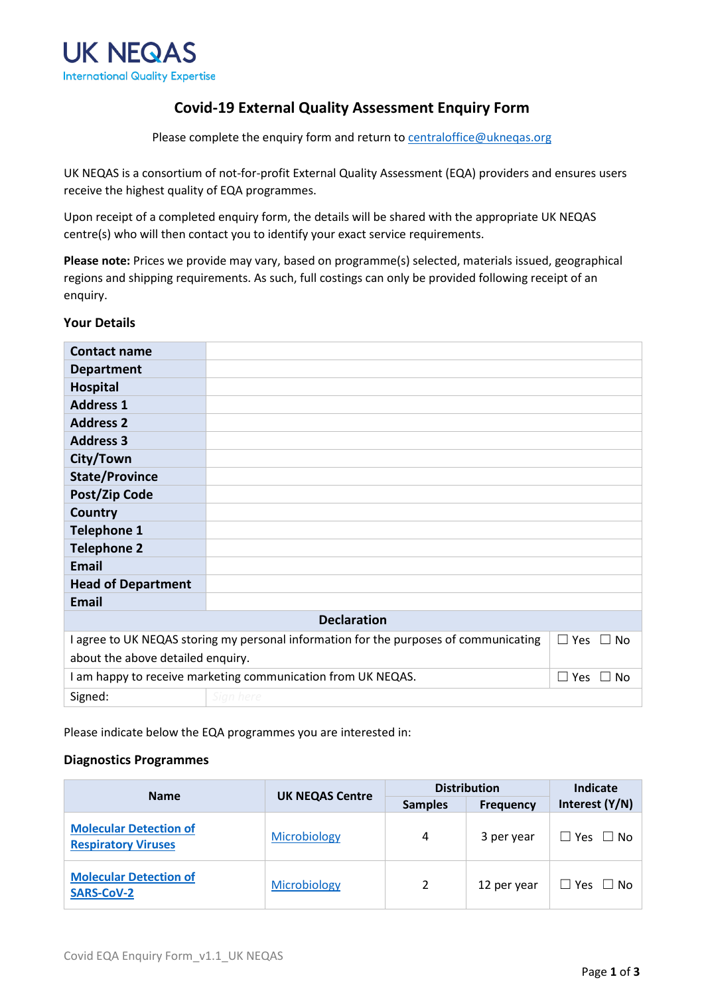

### **Covid-19 External Quality Assessment Enquiry Form**

Please complete the enquiry form and return to [centraloffice@ukneqas.org](mailto:centraloffice@ukneqas.org)

UK NEQAS is a consortium of not-for-profit External Quality Assessment (EQA) providers and ensures users receive the highest quality of EQA programmes.

Upon receipt of a completed enquiry form, the details will be shared with the appropriate UK NEQAS centre(s) who will then contact you to identify your exact service requirements.

**Please note:** Prices we provide may vary, based on programme(s) selected, materials issued, geographical regions and shipping requirements. As such, full costings can only be provided following receipt of an enquiry.

#### **Your Details**

| <b>Contact name</b>                                                                                              |           |  |  |  |  |
|------------------------------------------------------------------------------------------------------------------|-----------|--|--|--|--|
| <b>Department</b>                                                                                                |           |  |  |  |  |
| <b>Hospital</b>                                                                                                  |           |  |  |  |  |
| <b>Address 1</b>                                                                                                 |           |  |  |  |  |
| <b>Address 2</b>                                                                                                 |           |  |  |  |  |
| <b>Address 3</b>                                                                                                 |           |  |  |  |  |
| City/Town                                                                                                        |           |  |  |  |  |
| <b>State/Province</b>                                                                                            |           |  |  |  |  |
| Post/Zip Code                                                                                                    |           |  |  |  |  |
| Country                                                                                                          |           |  |  |  |  |
| <b>Telephone 1</b>                                                                                               |           |  |  |  |  |
| <b>Telephone 2</b>                                                                                               |           |  |  |  |  |
| <b>Email</b>                                                                                                     |           |  |  |  |  |
| <b>Head of Department</b>                                                                                        |           |  |  |  |  |
| <b>Email</b>                                                                                                     |           |  |  |  |  |
| <b>Declaration</b>                                                                                               |           |  |  |  |  |
| I agree to UK NEQAS storing my personal information for the purposes of communicating<br>$\Box$ Yes<br>$\Box$ No |           |  |  |  |  |
| about the above detailed enquiry.                                                                                |           |  |  |  |  |
| I am happy to receive marketing communication from UK NEQAS.<br>$\Box$ Yes<br>$\Box$ No                          |           |  |  |  |  |
| Signed:                                                                                                          | Sign here |  |  |  |  |

Please indicate below the EQA programmes you are interested in:

### **Diagnostics Programmes**

|                                                             | <b>UK NEQAS Centre</b> | <b>Distribution</b> |                  | Indicate             |
|-------------------------------------------------------------|------------------------|---------------------|------------------|----------------------|
| <b>Name</b>                                                 |                        | <b>Samples</b>      | <b>Frequency</b> | Interest (Y/N)       |
| <b>Molecular Detection of</b><br><b>Respiratory Viruses</b> | Microbiology           | 4                   | 3 per year       | $\Box$ Yes $\Box$ No |
| <b>Molecular Detection of</b><br><b>SARS-CoV-2</b>          | Microbiology           |                     | 12 per year      | Yes $\Box$ No        |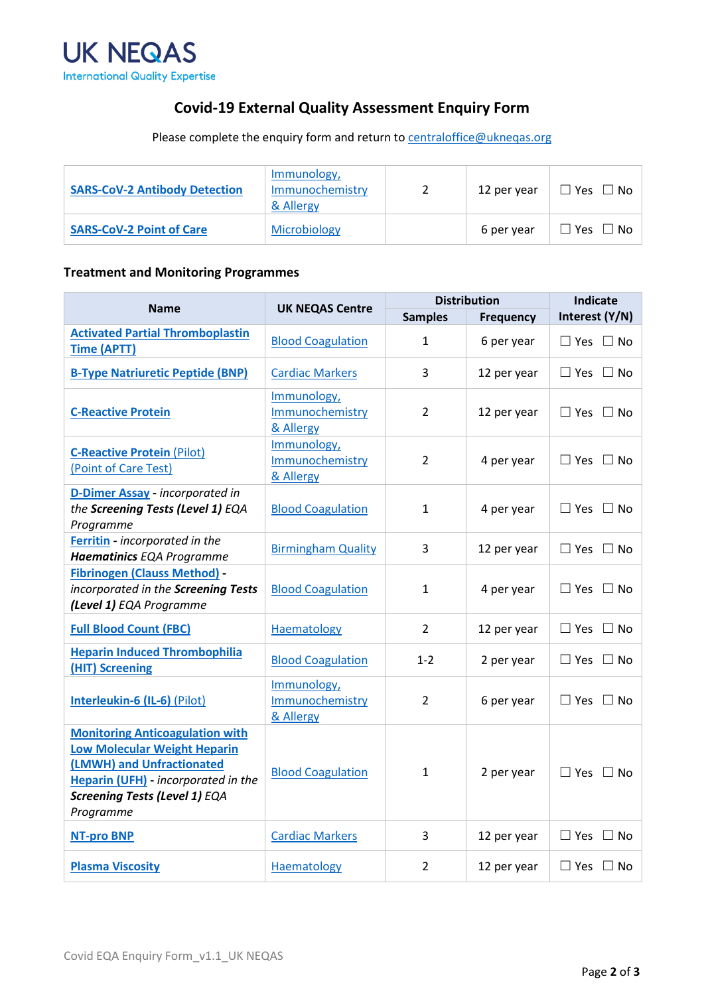

# **Covid-19 External Quality Assessment Enquiry Form**

Please complete the enquiry form and return to **centraloffice@ukneqas.org** 

| <b>SARS-CoV-2 Antibody Detection</b> | Immunology,<br>Immunochemistry<br>& Allergy | 12 per year | $\square$ Yes $\square$ No $\square$ |
|--------------------------------------|---------------------------------------------|-------------|--------------------------------------|
| <b>SARS-CoV-2 Point of Care</b>      | Microbiology                                | 6 per year  | $\square$ Yes $\square$ No $\square$ |

### **Treatment and Monitoring Programmes**

| <b>Name</b>                                                                                                                                                                                     | <b>UK NEQAS Centre</b>                      | <b>Distribution</b> |                  | <b>Indicate</b>      |
|-------------------------------------------------------------------------------------------------------------------------------------------------------------------------------------------------|---------------------------------------------|---------------------|------------------|----------------------|
|                                                                                                                                                                                                 |                                             | <b>Samples</b>      | <b>Frequency</b> | Interest (Y/N)       |
| <b>Activated Partial Thromboplastin</b><br><b>Time (APTT)</b>                                                                                                                                   | <b>Blood Coagulation</b>                    | $\mathbf{1}$        | 6 per year       | $\Box$ Yes $\Box$ No |
| <b>B-Type Natriuretic Peptide (BNP)</b>                                                                                                                                                         | <b>Cardiac Markers</b>                      | 3                   | 12 per year      | $\Box$ Yes $\Box$ No |
| <b>C-Reactive Protein</b>                                                                                                                                                                       | Immunology,<br>Immunochemistry<br>& Allergy | $\overline{2}$      | 12 per year      | $\Box$ Yes $\Box$ No |
| <b>C-Reactive Protein (Pilot)</b><br>(Point of Care Test)                                                                                                                                       | Immunology,<br>Immunochemistry<br>& Allergy | $\overline{2}$      | 4 per year       | $\Box$ Yes $\Box$ No |
| D-Dimer Assay - incorporated in<br>the Screening Tests (Level 1) EQA<br>Programme                                                                                                               | <b>Blood Coagulation</b>                    | $\mathbf{1}$        | 4 per year       | $\Box$ Yes $\Box$ No |
| Ferritin - incorporated in the<br><b>Haematinics EQA Programme</b>                                                                                                                              | <b>Birmingham Quality</b>                   | 3                   | 12 per year      | $\Box$ Yes $\Box$ No |
| <b>Fibrinogen (Clauss Method) -</b><br>incorporated in the Screening Tests<br>(Level 1) EQA Programme                                                                                           | <b>Blood Coagulation</b>                    | $\mathbf{1}$        | 4 per year       | $\Box$ Yes $\Box$ No |
| <b>Full Blood Count (FBC)</b>                                                                                                                                                                   | Haematology                                 | $\mathfrak{D}$      | 12 per year      | $\Box$ Yes $\Box$ No |
| <b>Heparin Induced Thrombophilia</b><br>(HIT) Screening                                                                                                                                         | <b>Blood Coagulation</b>                    | $1 - 2$             | 2 per year       | $\Box$ Yes $\Box$ No |
| Interleukin-6 (IL-6) (Pilot)                                                                                                                                                                    | Immunology,<br>Immunochemistry<br>& Allergy | 2                   | 6 per year       | $\Box$ Yes $\Box$ No |
| <b>Monitoring Anticoagulation with</b><br><b>Low Molecular Weight Heparin</b><br>(LMWH) and Unfractionated<br>Heparin (UFH) - incorporated in the<br>Screening Tests (Level 1) EQA<br>Programme | <b>Blood Coagulation</b>                    | $\mathbf{1}$        | 2 per year       | $\Box$ Yes $\Box$ No |
| <b>NT-pro BNP</b>                                                                                                                                                                               | <b>Cardiac Markers</b>                      | 3                   | 12 per year      | $\Box$ Yes $\Box$ No |
| <b>Plasma Viscosity</b>                                                                                                                                                                         | Haematology                                 | $\overline{2}$      | 12 per year      | $\Box$ Yes $\Box$ No |